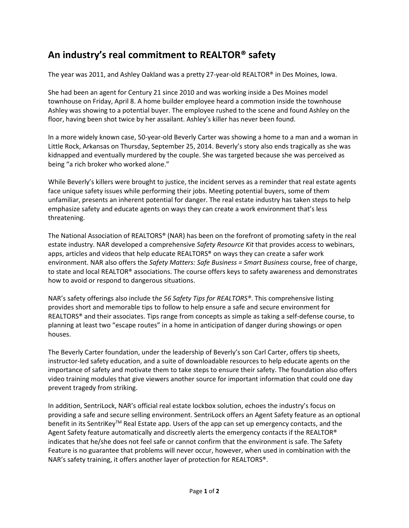## **An industry's real commitment to REALTOR® safety**

The year was 2011, and Ashley Oakland was a pretty 27-year-old REALTOR® in Des Moines, Iowa.

She had been an agent for Century 21 since 2010 and was working inside a Des Moines model townhouse on Friday, April 8. A home builder employee heard a commotion inside the townhouse Ashley was showing to a potential buyer. The employee rushed to the scene and found Ashley on the floor, having been shot twice by her assailant. Ashley's killer has never been found.

In a more widely known case, 50-year-old Beverly Carter was showing a home to a man and a woman in Little Rock, Arkansas on Thursday, September 25, 2014. Beverly's story also ends tragically as she was kidnapped and eventually murdered by the couple. She was targeted because she was perceived as being "a rich broker who worked alone."

While Beverly's killers were brought to justice, the incident serves as a reminder that real estate agents face unique safety issues while performing their jobs. Meeting potential buyers, some of them unfamiliar, presents an inherent potential for danger. The real estate industry has taken steps to help emphasize safety and educate agents on ways they can create a work environment that's less threatening.

The National Association of REALTORS® (NAR) has been on the forefront of promoting safety in the real estate industry. NAR developed a comprehensive *Safety Resource Kit* that provides access to webinars, apps, articles and videos that help educate REALTORS® on ways they can create a safer work environment. NAR also offers the *Safety Matters: Safe Business = Smart Business* course, free of charge, to state and local REALTOR® associations. The course offers keys to safety awareness and demonstrates how to avoid or respond to dangerous situations.

NAR's safety offerings also include t*he 56 Safety Tips for REALTORS®*. This comprehensive listing provides short and memorable tips to follow to help ensure a safe and secure environment for REALTORS® and their associates. Tips range from concepts as simple as taking a self-defense course, to planning at least two "escape routes" in a home in anticipation of danger during showings or open houses.

The Beverly Carter foundation, under the leadership of Beverly's son Carl Carter, offers tip sheets, instructor-led safety education, and a suite of downloadable resources to help educate agents on the importance of safety and motivate them to take steps to ensure their safety. The foundation also offers video training modules that give viewers another source for important information that could one day prevent tragedy from striking.

In addition, SentriLock, NAR's official real estate lockbox solution, echoes the industry's focus on providing a safe and secure selling environment. SentriLock offers an Agent Safety feature as an optional benefit in its SentriKeyTM Real Estate app. Users of the app can set up emergency contacts, and the Agent Safety feature automatically and discreetly alerts the emergency contacts if the REALTOR® indicates that he/she does not feel safe or cannot confirm that the environment is safe. The Safety Feature is no guarantee that problems will never occur, however, when used in combination with the NAR's safety training, it offers another layer of protection for REALTORS®.